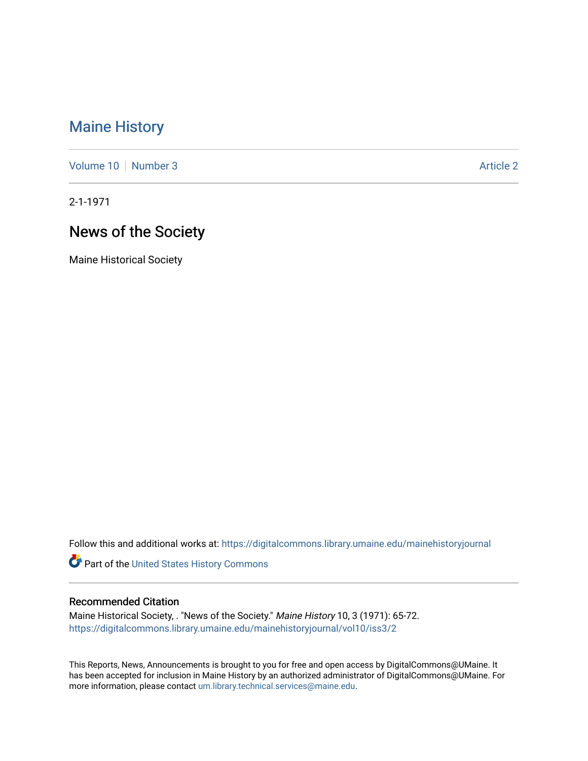## [Maine History](https://digitalcommons.library.umaine.edu/mainehistoryjournal)

[Volume 10](https://digitalcommons.library.umaine.edu/mainehistoryjournal/vol10) [Number 3](https://digitalcommons.library.umaine.edu/mainehistoryjournal/vol10/iss3) Article 2

2-1-1971

# News of the Society

Maine Historical Society

Follow this and additional works at: [https://digitalcommons.library.umaine.edu/mainehistoryjournal](https://digitalcommons.library.umaine.edu/mainehistoryjournal?utm_source=digitalcommons.library.umaine.edu%2Fmainehistoryjournal%2Fvol10%2Fiss3%2F2&utm_medium=PDF&utm_campaign=PDFCoverPages) 

Part of the [United States History Commons](http://network.bepress.com/hgg/discipline/495?utm_source=digitalcommons.library.umaine.edu%2Fmainehistoryjournal%2Fvol10%2Fiss3%2F2&utm_medium=PDF&utm_campaign=PDFCoverPages) 

#### Recommended Citation

Maine Historical Society, . "News of the Society." Maine History 10, 3 (1971): 65-72. [https://digitalcommons.library.umaine.edu/mainehistoryjournal/vol10/iss3/2](https://digitalcommons.library.umaine.edu/mainehistoryjournal/vol10/iss3/2?utm_source=digitalcommons.library.umaine.edu%2Fmainehistoryjournal%2Fvol10%2Fiss3%2F2&utm_medium=PDF&utm_campaign=PDFCoverPages)

This Reports, News, Announcements is brought to you for free and open access by DigitalCommons@UMaine. It has been accepted for inclusion in Maine History by an authorized administrator of DigitalCommons@UMaine. For more information, please contact [um.library.technical.services@maine.edu](mailto:um.library.technical.services@maine.edu).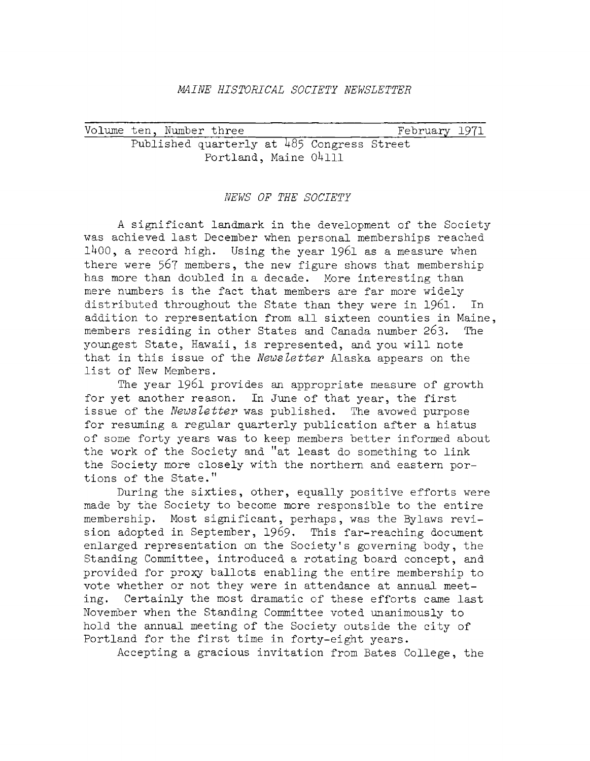#### *MAINE HISTORICAL SOCIETY NEWSLETTER*

|  | Volume ten, Number three                   |  | February 1971 |  |
|--|--------------------------------------------|--|---------------|--|
|  | Published quarterly at 485 Congress Street |  |               |  |
|  | Portland, Maine 04111                      |  |               |  |

#### *NEWS OF THE SOCIETY*

*<sup>A</sup>* significant landmark in the development of the Society was achieved last December when personal memberships reached 11+00, a record high. Using the year 1961 as a measure when there were 567 members, the new figure shows that membership has more than doubled in a decade. More interesting than mere numbers is the fact that members are far more widely distributed throughout the State than they were in 1961. In addition to representation from all sixteen counties in Maine, members residing in other States and Canada number 263. The youngest State, Hawaii, is represented, and you will note that in this issue of the *News letter* Alaska appears on the list of New Members.

The year 1961 provides an appropriate measure of growth for yet another reason. In June of that year, the first issue of the *Newsletter* was published. The avowed purpose for resuming <sup>a</sup> regular quarterly publication after <sup>a</sup> hiatus of some forty years was to keep members better informed about the work of the Society and "at least do something to link the Society more closely with the northern and eastern portions of the State."

During the sixties, other, equally positive efforts were made by the Society to become more responsible to the entire membership. Most significant, perhaps, was the Bylaws revision adopted in September, 1969. This far-reaching document enlarged representation on the Society'<sup>s</sup> governing body, the Standing Committee, introduced a rotating board concept, and provided for proxy ballots enabling the entire membership to vote whether or not they were in attendance at annual meeting. Certainly the most dramatic of these efforts came last November when the Standing Committee voted unanimously to hold the annual meeting of the Society outside the city of Portland for the first time in forty-eight years.

Accepting a gracious invitation from Bates College, the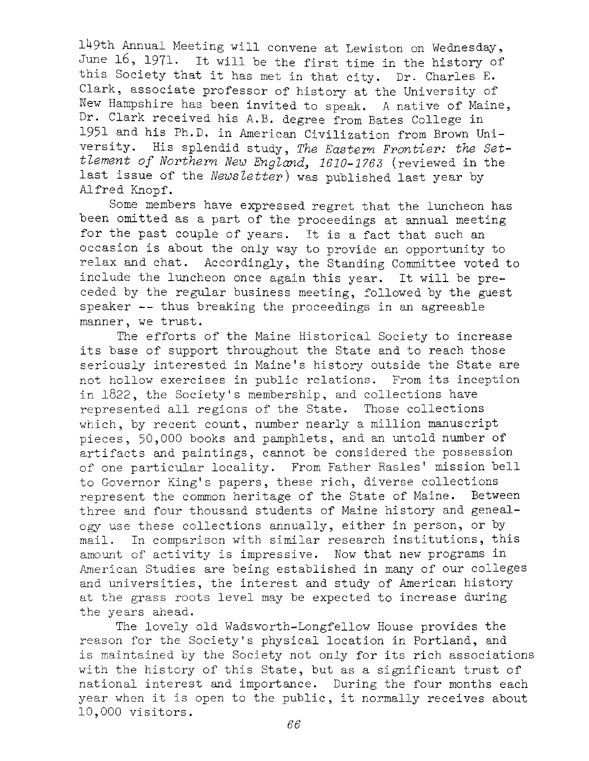149th Annual Meeting will convene at Lewiston on Wednesday, June 16, 1971. It will be the first time in the history of this Society that it has met in that city. Dr. Charles E. Clark, associate professor of history at the University of New Hampshire has been invited to speak. <sup>A</sup> native of Maine, Dr. Clark received his A.B. degree from Bates College in 1951 and his Ph.D. in American Civilization from Brown University. His splendid study, *The Eastern Frontier: the Settlement of Northern New Englands 1610-1763* (reviewed in the last issue of the *Newsletter)* was published last year by Alfred Knopf.

Some members have expressed regret that the luncheon has been omitted as <sup>a</sup> part of the proceedings at annual meeting for the past couple of years. It is <sup>a</sup> fact that such an occasion is about the only way to provide an opportunity to relax and chat. Accordingly, the Standing Committee voted to include the luncheon once again this year. It will be preceded by the regular business meeting, followed by the guest speaker -- thus breaking the proceedings in an agreeable manner, we trust.

The efforts of the Maine Historical Society to increase its base of support throughout the State and to reach those seriously interested in Maine'<sup>s</sup> history outside the State are not hollow exercises in public relations. From its inception in 1822, the Society'<sup>s</sup> membership, and collections have represented all regions of the State. Those collections which, by recent count, number nearly a million manuscript pieces, 50,000 books and pamphlets, and an untold number of artifacts and paintings, cannot be considered the possession of one particular locality. From Father Rasies' mission bell to Governor King's papers, these rich, diverse collections<br>represent the common heritage of the State of Maine. Between represent the common heritage of the State of Maine. three and four thousand students of Maine history and genealogy use these collections annually, either in person, or by mail. In comparison with similar research institutions, this amount of activity is impressive. Now that new programs in American Studies are being established in many of our colleges and universities, the interest and study of American history at the grass roots level may be expected to increase during the years ahead.

The lovely old Wadsworth-Longfellow House provides the reason for the Society'<sup>s</sup> physical location in Portland, and is maintained by the Society not only for its rich associations with the history of this State, but as a significant trust of national interest and importance. During the four months each year when it is open to the public, it normally receives about 10,000 visitors.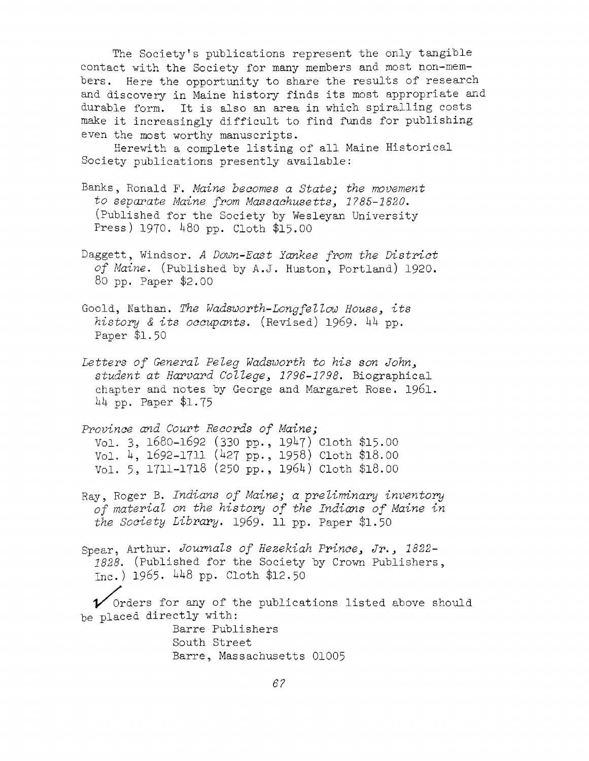The Society'<sup>s</sup> publications represent the only tangible contact with the Society for many members and most non-members. Here the opportunity to share the results of research and discovery in Maine history finds its most appropriate and durable form. It is also an area in which spiralling costs make it increasingly difficult to find funds for publishing even the most worthy manuscripts.

Herewith <sup>a</sup> complete listing of all Maine Historical Society publications presently available:

- Banks, Ronald F. *Maine becomes a State; the movement to separate Maine from Massachusetts, 1785-1820,* (Published for the Society by Wesleyan University Press) 1970. 480 pp. Cloth \$15.00
- Daggett, Windsor. *<sup>A</sup> Down-East Yankee from the District of Maine,* (Published by A.J. Huston, Portland) 1920. 80 pp. Paper \$2.00
- Goold, Nathan. *The Wadsworth-Longfel tow House<sup>3</sup> its history & its occupants,* (Revised) 1969. <sup>44</sup> pp. Paper \$1.50
- *Letters of General Peleg Wadsworth to his son John^ student at Harvard College1796-1798,* Biographical chapter and notes by George and Margaret Rose. 1961. 44 pp. Paper \$1-75
- *Province and Court Records of Maine;* Vol. 3, 1680-1692 (330 pp., 1947) Cloth \$15.00 Vol. 4, 1692-1711 (427 PP-, 1958) Cloth \$18.00 Vol. 5, 1711-1718 (250 pp., 1964) Cloth \$18.00
- Ray, Roger B. *Indians of Maine; <sup>a</sup> preliminary inventory of material on the history of the Indians of Maine in the Society Library,* 1969. 11 pp. Paper \$1.50

Spear, Arthur. *Journals of Hezekiah Prince\* Jr, \* 1822- 1828,* (Published for the Society by Crown Publishers, Inc.) 1965. 448 pp. Cloth \$12.50

 $\nu$  Orders for any of the publications listed above should be placed directly with:

> Barre Publishers South Street Barre, Massachusetts 01005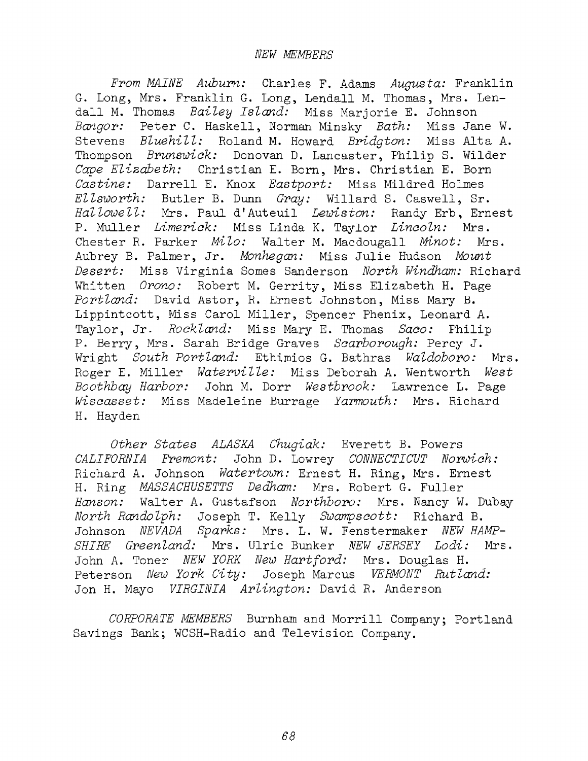*From MAINE Auburn:* Charles F. Adams *Augusta:* Franklin G. Long, Mrs. Franklin G. Long, Lendall M. Thomas, Mrs. Lendall M. Thomas *Bailey Island:* Miss Marjorie E. Johnson *Bangor:* Peter C. Haskell, Norman Minsky *Bath:* Miss Jane W. Stevens *Bluehill:* Roland M. Howard *Bridgton:* Miss Alta A. Thompson *Brunswick:* Donovan D. Lancaster, Philip S. Wilder *Cape Elizabeth:* Christian E. Born, Mrs. Christian E. Born *Castine:* Darrell E. Knox *Eastport:* Miss Mildred Holmes *Ellsworth:* Butler B. Dunn *Gray:* Willard S. Caswell, Sr. *Hallowell:* Mrs. Paul d'Auteuil *Lewiston:* Randy Erb, Ernest P. Muller *Limerick:* Miss Linda K. Taylor *Lincoln:* Mrs. Chester R. Parker *Milo:* Walter M. Macdougall *Minot:* Mrs. Aubrey B. Palmer, Jr. *Monhegan:* Miss Julie Hudson *Mount Desert:* Miss Virginia Somes Sanderson *North Windham:* Richard Whitten *Orono:* Robert M. Gerrity, Miss Elizabeth H. Page *Portland:* David Astor, R. Ernest Johnston, Miss Mary B. Lippintcott, Miss Carol Miller, Spencer Phenix, Leonard A. Taylor, Jr- *Rockland:* Miss Mary E. Thomas *Saco:* Philip P. Berry, Mrs. Sarah Bridge Graves *Scarborough:* Percy J. Wright *South Portland:* Ethimios G. Bathras *Waldoboro:* Mrs. Roger E. Miller *Waterville:* Miss Deborah A. Wentworth *West Boothbay Harbor:* John M. Dorr *Westbrook:* Lawrence L. Page *Wiscasset:* Miss Madeleine Burrage *Earmouth:* Mrs. Richard H. Hayden

*Other States ALASKA Chugiak:* Everett B. Powers *CALIFORNIA Fremont:* John D. Lowrey *CONNECTICUT Norwich:* Richard A. Johnson *Watertown:* Ernest H. Ring, Mrs. Ernest H. Ring *MASSACHUSETTS Dedham:* Mrs. Robert G. Fuller *Hanson:* Walter A. Gustafson *Northboro:* Mrs. Nancy W. Dubay *North Randolph:* Joseph T. Kelly *Swampscott:* Richard B. Johnson *NEVADA Sparks:* Mrs. L. W. Fenstermaker *NEW HAMP-SHIRE Greenland:* Mrs. Ulric Bunker *NEW JERSEE Lodi:* Mrs. John A. Toner *NEW YORK New Hartford:* Mrs. Douglas H. Peterson *New Eork City:* Joseph Marcus *VERMONT Rutland:* Jon H. Mayo *VIRGINIA Arlington:* David R. Anderson

*CORPORATE MEMBERS* Burnham and Morrill Company; Portland Savings Bank; WCSH-Radio and Television Company.

*68*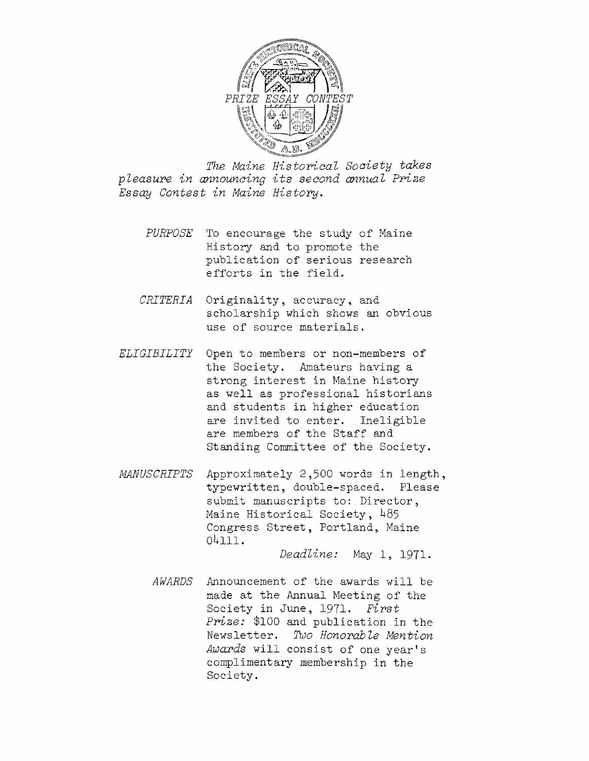

*The Maine Historical Society takes pleasure in announcing its second annual Prize Essay Contest in Maine History.*

- *PURPOSE* To encourage the study of Maine History and to promote the publication of serious research efforts in the field.
- *CRITERIA* Originality, accuracy, and scholarship which shows an obvious use of source materials.
- *ELIGIBILITY* Open to members or non-members of the Society. Amateurs having a strong interest in Maine history as well as professional historians and students in higher education are invited to enter. Ineligible are members of the Staff and Standing Committee of the Society.
- *MANUSCRIPTS* Approximately 2,500 words in length, typewritten, double-spaced. Please submit manuscripts to: Director, Maine Historical Society, 485 Congress Street, Portland, Maine 04111.

*Deadline:* May 1, 1971.

*AWARDS* Announcement of the awards will be made at the Annual Meeting of the Society in June, 1971. *First Prize:* \$100 and publication in the Newsletter. *Two Honorable Mention Awards* will consist of one year'<sup>s</sup> complimentary membership in the Society.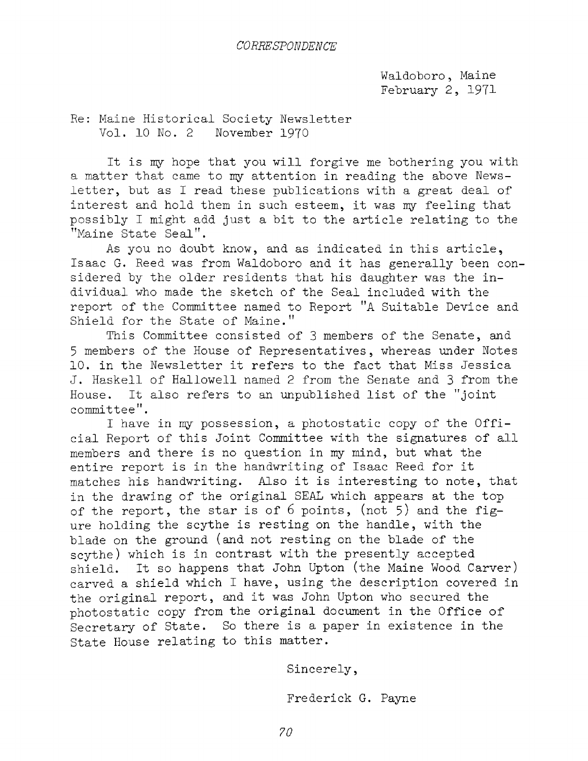Waldoboro , Maine February 2, 1971

Re: Maine Historical Society Newsletter Vol. 10 No. <sup>2</sup> November 1970

It is my hope that you will forgive me bothering you with a matter that came to my attention in reading the above Newsletter, but as I read these publications with <sup>a</sup> great deal of interest and hold them in such esteem, it was my feeling that possibly I might add just <sup>a</sup> bit to the article relating to the "Maine State Seal".

As you no doubt know, and as indicated in this article, Isaac G. Reed was from Waldoboro and it has generally been considered by the older residents that his daughter was the individual who made the sketch of the Seal included with the report of the Committee named to Report "A Suitable Device and Shield for the State of Maine."

This Committee consisted of <sup>3</sup> members of the Senate, and <sup>5</sup> members of the House of Representatives, whereas under Notes 10. in the Newsletter it refers to the fact that Miss Jessica J. Haskell of Hallowell named <sup>2</sup> from the Senate and <sup>3</sup> from the House. It also refers to an unpublished list of the "joint committee".

I have in my possession, <sup>a</sup> photostatic copy of the Official Report of this Joint Committee with the signatures of all members and there is no question in my mind, but what the entire report is in the handwriting of Isaac Reed for it matches his handwriting. Also it is interesting to note, that in the drawing of the original SEAL which appears at the top of the report, the star is of  $6$  points, (not  $5$ ) and the figure holding the scythe is resting on the handle, with the blade on the ground (and not resting on the blade of the scythe) which is in contrast with the presently accepted shield. It so happens that John Upton (the Maine Wood Carver) carved <sup>a</sup> shield which I have, using the description covered in the original report, and it was John Upton who secured the photostatic copy from the original document in the Office of Secretary of State. So there is <sup>a</sup> paper in existence in the State House relating to this matter.

Sincerely,

Frederick G. Payne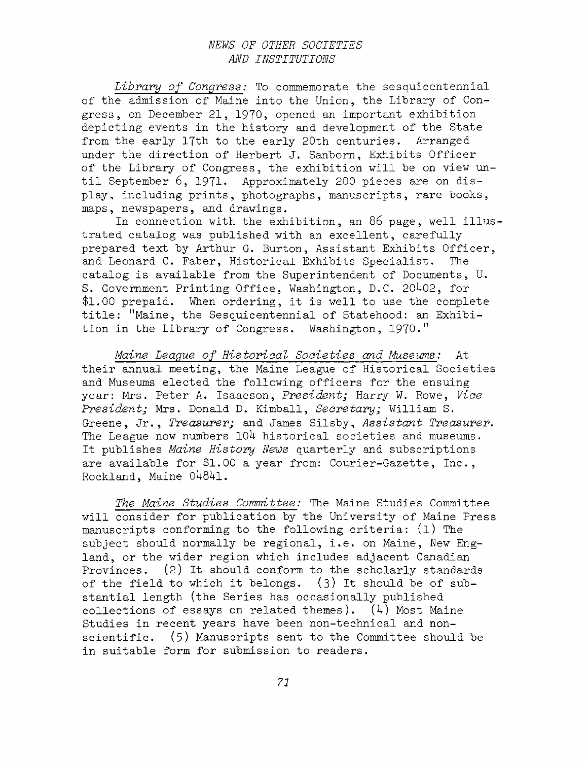### *NEWS OF OTHER SOCIETIES AND INSTITUTIONS*

*Library of Congress:* To commemorate the sesquicentennial of the admission of Maine into the Union, the Library of Congress, on December 21, 1970, opened an important exhibition depicting events in the history and development of the State from the early 17th to the early 20th centuries. Arranged under the direction of Herbert J. Sanborn, Exhibits Officer of the Library of Congress, the exhibition will be on view until September 6, 1971. Approximately 200 pieces are on display, including prints, photographs, manuscripts, rare books, maps, newspapers, and drawings.

In connection with the exhibition, an <sup>86</sup> page, well illustrated catalog was published with an excellent, carefully prepared text by Arthur G. Burton, Assistant Exhibits Officer, and Leonard C. Faber, Historical Exhibits Specialist. The catalog is available from the Superintendent of Documents, U. S. Government Printing Office, Washington, D.C. 20^02, for \$1.00 prepaid. When ordering, it is well to use the complete title: ''Maine, the Sesquicentennial of Statehood: an Exhibition in the Library of Congress. Washington, 1970."

*Maine League of Historical Societies and Museums:* At their annual meeting, the Maine League of Historical Societies and Museums elected the following officers for the ensuing year: Mrs. Peter A. Isaacson, *President;* Harry W. Rowe, *Vice President;* Mrs. Donald D. Kimball, *Secretary;* William S. Greene, Jr., *Treasurer;* and James Silsby, *Assistant Treasurer.* The League now numbers  $104$  historical societies and museums. It publishes *Maine History News* quarterly and subscriptions are available for \$1.00 a year from: Courier-Gazette, Inc., Rockland, Maine 04841.

*The Maine Studies Committee:* The Maine Studies Committee will consider for publication by the University of Maine Press manuscripts conforming to the following criteria: (1) The subject should normally be regional, i.e. on Maine, New England, or the wider region which includes adjacent Canadian Provinces. (2) It should conform to the scholarly standards of the field to which it belongs.  $(3)$  It should be of substantial length (the Series has occasionally published collections of essays on related themes).  $(4)$  Most Maine Studies in recent years have been non-technical and nonscientific. (5) Manuscripts sent to the Committee should be in suitable form for submission to readers.